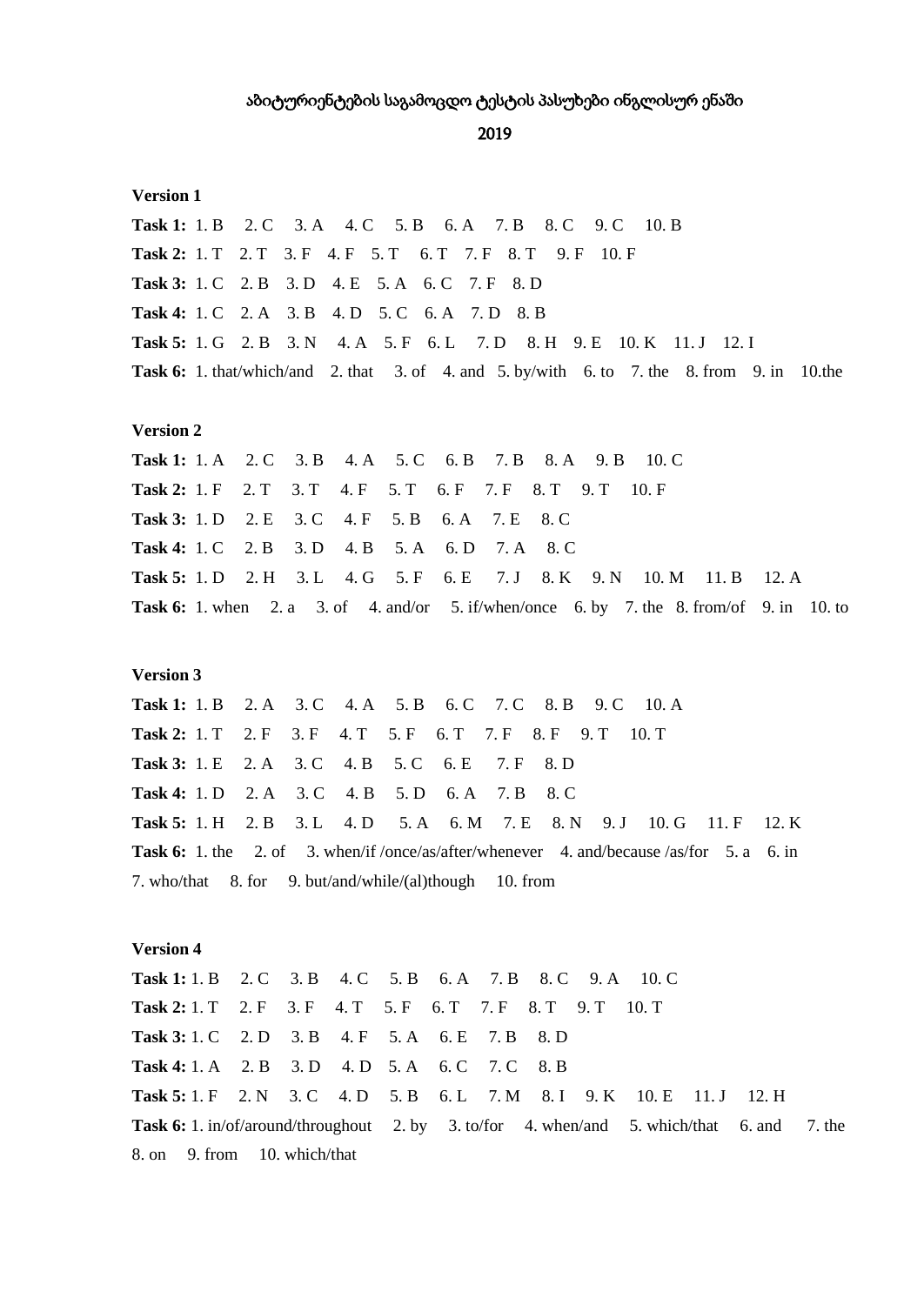2019

## **Version 1**

2. C 3. A 4. C 5. B 6. A 7. B 8. C **Task 1:** 1. B  $9<sub>c</sub>$  $10. B$ Task 2: 1. T 2. T 3. F 4. F 5. T 6. T 7. F 8. T 9. F 10. F Task 3: 1. C 2. B 3. D 4. E 5. A 6. C 7. F 8. D Task 4: 1. C 2. A 3. B 4. D 5. C 6. A 7. D 8. B Task 5: 1. G 2. B 3. N 4. A 5. F 6. L 7. D 8. H 9. E 10. K 11. J 12. I Task 6: 1. that/which/and 2. that 3. of 4. and 5. by/with 6. to 7. the 8. from 9. in 10. the

## **Version 2**

**Task 1:** 1. A 2. C 3. B 4. A 5. C 6. B 7. B 8. A 9. B  $10. \text{C}$ Task 2: 1. F 2. T  $3. T$  $4. F \quad 5. T$ 6. F 7. F 8. T 9. T 10. F Task 3: 1. D 2. E  $3. C$  $4. F$  $5. B$  $6. A$ 7. E 8. C **Task 4:** 1. C  $2. B$  $3. D$  $4. B$  $5. A$ 6. D  $7. A$ 8. C  $5. F$ Task 5: 1. D 2. H  $3. L$  $4. G$  $6.E$  $7. J$ 8. K 9. N 10. M 11. B  $12. A$ Task 6: 1. when 2. a 3. of 4. and/or 5. if/when/once 6. by 7. the 8. from/of 9. in 10. to

## **Version 3**

**Task 1:** 1. B  $2. A$ 3. C 4. A 5. B 6. C 7. C 8. B 9. C  $10.A$ **Task 2:** 1. T  $2. F$  $3. F \quad 4. T$ 5. F 6. T 7. F 8. F 9. T 10. T  $4. B$ **Task 3:** 1. E  $2. A$  $3. C$  $5. C$  $6.E$  $7. F$ 8. D **Task 4:** 1. D  $2. A$  $3 \, C$  $4. B$  $5<sub>D</sub>$  $6A$  $7B$  $8\,C$ Task 5: 1. H 2. B  $3. L$ 4. D  $5. A \quad 6. M$ 7. E 8. N 9. J 10. G 11. F  $12.K$ **Task 6:** 1. the 2. of 3. when/if /once/as/after/whenever 4. and/because /as/for 5. a 6. in 7. who/that 8. for 9. but/and/while/(al)though  $10.$  from

## **Version 4**

Task 1: 1, B 2, C 3, B 4, C 5, B 6, A 7, B 8. C 9. A  $10.C$ Task 2: 1. T 2. F 3. F 4. T 5. F 6. T 7. F 8. T 9. T  $10. T$ Task 3: 1. C 2. D 3. B 4. F 5. A 6. E 7. B 8. D Task 4: 1. A 2. B 3. D 4. D 5. A 6. C  $7. C$ 8. B Task 5: 1. F 2. N 3. C 4. D  $5. B \quad 6. L$  $7. M$ 8. I 9. K 10. E  $11. J$  $12. H$ **Task 6:** 1. in/of/around/throughout 2. by 3. to/for 4. when/and 5. which/that  $6.$  and 7. the 8. on 9. from 10. which/that